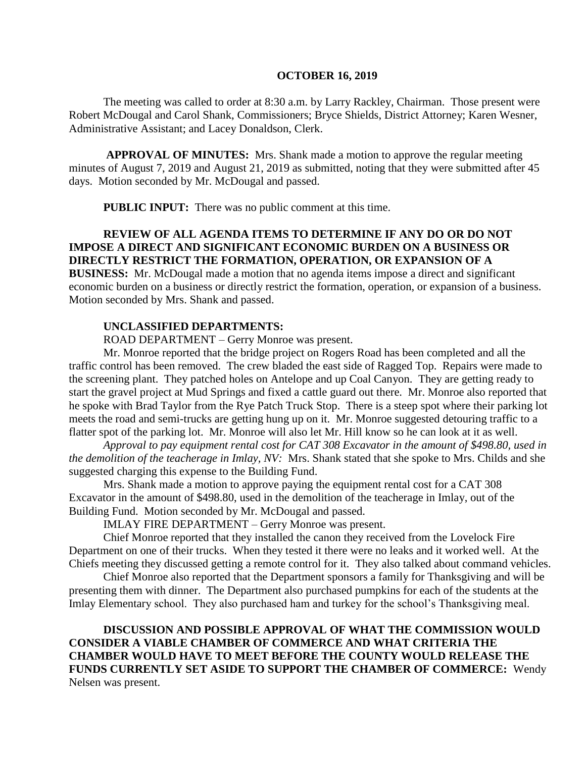#### **OCTOBER 16, 2019**

The meeting was called to order at 8:30 a.m. by Larry Rackley, Chairman. Those present were Robert McDougal and Carol Shank, Commissioners; Bryce Shields, District Attorney; Karen Wesner, Administrative Assistant; and Lacey Donaldson, Clerk.

**APPROVAL OF MINUTES:** Mrs. Shank made a motion to approve the regular meeting minutes of August 7, 2019 and August 21, 2019 as submitted, noting that they were submitted after 45 days. Motion seconded by Mr. McDougal and passed.

 **PUBLIC INPUT:** There was no public comment at this time.

# **REVIEW OF ALL AGENDA ITEMS TO DETERMINE IF ANY DO OR DO NOT IMPOSE A DIRECT AND SIGNIFICANT ECONOMIC BURDEN ON A BUSINESS OR DIRECTLY RESTRICT THE FORMATION, OPERATION, OR EXPANSION OF A**

**BUSINESS:** Mr. McDougal made a motion that no agenda items impose a direct and significant economic burden on a business or directly restrict the formation, operation, or expansion of a business. Motion seconded by Mrs. Shank and passed.

### **UNCLASSIFIED DEPARTMENTS:**

ROAD DEPARTMENT – Gerry Monroe was present.

Mr. Monroe reported that the bridge project on Rogers Road has been completed and all the traffic control has been removed. The crew bladed the east side of Ragged Top. Repairs were made to the screening plant. They patched holes on Antelope and up Coal Canyon. They are getting ready to start the gravel project at Mud Springs and fixed a cattle guard out there. Mr. Monroe also reported that he spoke with Brad Taylor from the Rye Patch Truck Stop. There is a steep spot where their parking lot meets the road and semi-trucks are getting hung up on it. Mr. Monroe suggested detouring traffic to a flatter spot of the parking lot. Mr. Monroe will also let Mr. Hill know so he can look at it as well.

*Approval to pay equipment rental cost for CAT 308 Excavator in the amount of \$498.80, used in the demolition of the teacherage in Imlay, NV:*Mrs. Shank stated that she spoke to Mrs. Childs and she suggested charging this expense to the Building Fund.

Mrs. Shank made a motion to approve paying the equipment rental cost for a CAT 308 Excavator in the amount of \$498.80, used in the demolition of the teacherage in Imlay, out of the Building Fund. Motion seconded by Mr. McDougal and passed.

IMLAY FIRE DEPARTMENT – Gerry Monroe was present.

Chief Monroe reported that they installed the canon they received from the Lovelock Fire Department on one of their trucks. When they tested it there were no leaks and it worked well. At the Chiefs meeting they discussed getting a remote control for it. They also talked about command vehicles.

Chief Monroe also reported that the Department sponsors a family for Thanksgiving and will be presenting them with dinner. The Department also purchased pumpkins for each of the students at the Imlay Elementary school. They also purchased ham and turkey for the school's Thanksgiving meal.

**DISCUSSION AND POSSIBLE APPROVAL OF WHAT THE COMMISSION WOULD CONSIDER A VIABLE CHAMBER OF COMMERCE AND WHAT CRITERIA THE CHAMBER WOULD HAVE TO MEET BEFORE THE COUNTY WOULD RELEASE THE FUNDS CURRENTLY SET ASIDE TO SUPPORT THE CHAMBER OF COMMERCE:** Wendy Nelsen was present.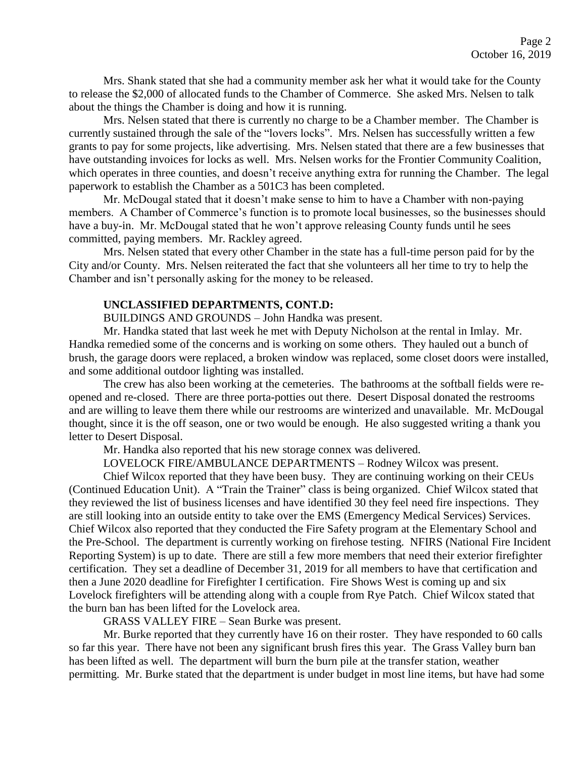Mrs. Shank stated that she had a community member ask her what it would take for the County to release the \$2,000 of allocated funds to the Chamber of Commerce. She asked Mrs. Nelsen to talk about the things the Chamber is doing and how it is running.

Mrs. Nelsen stated that there is currently no charge to be a Chamber member. The Chamber is currently sustained through the sale of the "lovers locks". Mrs. Nelsen has successfully written a few grants to pay for some projects, like advertising. Mrs. Nelsen stated that there are a few businesses that have outstanding invoices for locks as well. Mrs. Nelsen works for the Frontier Community Coalition, which operates in three counties, and doesn't receive anything extra for running the Chamber. The legal paperwork to establish the Chamber as a 501C3 has been completed.

Mr. McDougal stated that it doesn't make sense to him to have a Chamber with non-paying members. A Chamber of Commerce's function is to promote local businesses, so the businesses should have a buy-in. Mr. McDougal stated that he won't approve releasing County funds until he sees committed, paying members. Mr. Rackley agreed.

Mrs. Nelsen stated that every other Chamber in the state has a full-time person paid for by the City and/or County. Mrs. Nelsen reiterated the fact that she volunteers all her time to try to help the Chamber and isn't personally asking for the money to be released.

#### **UNCLASSIFIED DEPARTMENTS, CONT.D:**

BUILDINGS AND GROUNDS – John Handka was present.

Mr. Handka stated that last week he met with Deputy Nicholson at the rental in Imlay. Mr. Handka remedied some of the concerns and is working on some others. They hauled out a bunch of brush, the garage doors were replaced, a broken window was replaced, some closet doors were installed, and some additional outdoor lighting was installed.

The crew has also been working at the cemeteries. The bathrooms at the softball fields were reopened and re-closed. There are three porta-potties out there. Desert Disposal donated the restrooms and are willing to leave them there while our restrooms are winterized and unavailable. Mr. McDougal thought, since it is the off season, one or two would be enough. He also suggested writing a thank you letter to Desert Disposal.

Mr. Handka also reported that his new storage connex was delivered.

LOVELOCK FIRE/AMBULANCE DEPARTMENTS – Rodney Wilcox was present.

Chief Wilcox reported that they have been busy. They are continuing working on their CEUs (Continued Education Unit). A "Train the Trainer" class is being organized. Chief Wilcox stated that they reviewed the list of business licenses and have identified 30 they feel need fire inspections. They are still looking into an outside entity to take over the EMS (Emergency Medical Services) Services. Chief Wilcox also reported that they conducted the Fire Safety program at the Elementary School and the Pre-School. The department is currently working on firehose testing. NFIRS (National Fire Incident Reporting System) is up to date. There are still a few more members that need their exterior firefighter certification. They set a deadline of December 31, 2019 for all members to have that certification and then a June 2020 deadline for Firefighter I certification. Fire Shows West is coming up and six Lovelock firefighters will be attending along with a couple from Rye Patch. Chief Wilcox stated that the burn ban has been lifted for the Lovelock area.

GRASS VALLEY FIRE – Sean Burke was present.

Mr. Burke reported that they currently have 16 on their roster. They have responded to 60 calls so far this year. There have not been any significant brush fires this year. The Grass Valley burn ban has been lifted as well. The department will burn the burn pile at the transfer station, weather permitting. Mr. Burke stated that the department is under budget in most line items, but have had some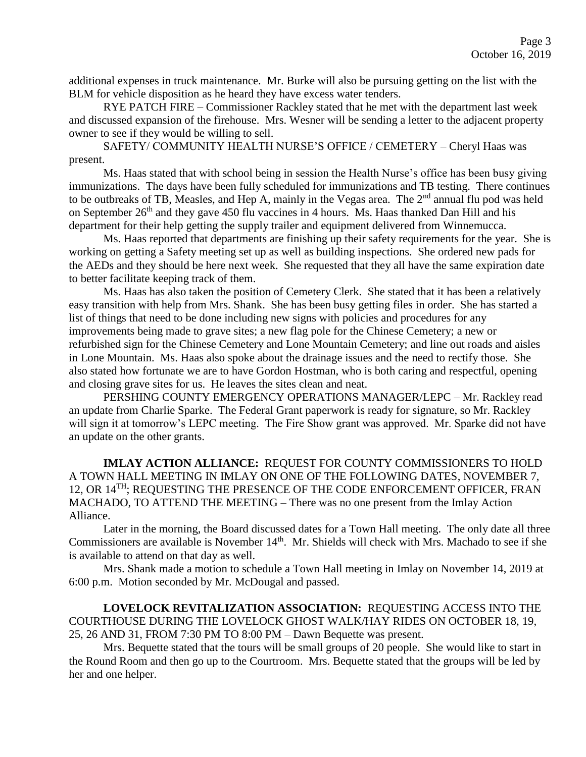additional expenses in truck maintenance. Mr. Burke will also be pursuing getting on the list with the BLM for vehicle disposition as he heard they have excess water tenders.

RYE PATCH FIRE – Commissioner Rackley stated that he met with the department last week and discussed expansion of the firehouse. Mrs. Wesner will be sending a letter to the adjacent property owner to see if they would be willing to sell.

SAFETY/ COMMUNITY HEALTH NURSE'S OFFICE / CEMETERY – Cheryl Haas was present.

Ms. Haas stated that with school being in session the Health Nurse's office has been busy giving immunizations. The days have been fully scheduled for immunizations and TB testing. There continues to be outbreaks of TB, Measles, and Hep A, mainly in the Vegas area. The 2<sup>nd</sup> annual flu pod was held on September 26<sup>th</sup> and they gave 450 flu vaccines in 4 hours. Ms. Haas thanked Dan Hill and his department for their help getting the supply trailer and equipment delivered from Winnemucca.

Ms. Haas reported that departments are finishing up their safety requirements for the year. She is working on getting a Safety meeting set up as well as building inspections. She ordered new pads for the AEDs and they should be here next week. She requested that they all have the same expiration date to better facilitate keeping track of them.

Ms. Haas has also taken the position of Cemetery Clerk. She stated that it has been a relatively easy transition with help from Mrs. Shank. She has been busy getting files in order. She has started a list of things that need to be done including new signs with policies and procedures for any improvements being made to grave sites; a new flag pole for the Chinese Cemetery; a new or refurbished sign for the Chinese Cemetery and Lone Mountain Cemetery; and line out roads and aisles in Lone Mountain. Ms. Haas also spoke about the drainage issues and the need to rectify those. She also stated how fortunate we are to have Gordon Hostman, who is both caring and respectful, opening and closing grave sites for us. He leaves the sites clean and neat.

PERSHING COUNTY EMERGENCY OPERATIONS MANAGER/LEPC – Mr. Rackley read an update from Charlie Sparke. The Federal Grant paperwork is ready for signature, so Mr. Rackley will sign it at tomorrow's LEPC meeting. The Fire Show grant was approved. Mr. Sparke did not have an update on the other grants.

**IMLAY ACTION ALLIANCE:** REQUEST FOR COUNTY COMMISSIONERS TO HOLD A TOWN HALL MEETING IN IMLAY ON ONE OF THE FOLLOWING DATES, NOVEMBER 7, 12, OR 14<sup>TH</sup>; REQUESTING THE PRESENCE OF THE CODE ENFORCEMENT OFFICER, FRAN MACHADO, TO ATTEND THE MEETING – There was no one present from the Imlay Action Alliance.

Later in the morning, the Board discussed dates for a Town Hall meeting. The only date all three Commissioners are available is November 14<sup>th</sup>. Mr. Shields will check with Mrs. Machado to see if she is available to attend on that day as well.

Mrs. Shank made a motion to schedule a Town Hall meeting in Imlay on November 14, 2019 at 6:00 p.m. Motion seconded by Mr. McDougal and passed.

**LOVELOCK REVITALIZATION ASSOCIATION:** REQUESTING ACCESS INTO THE COURTHOUSE DURING THE LOVELOCK GHOST WALK/HAY RIDES ON OCTOBER 18, 19, 25, 26 AND 31, FROM 7:30 PM TO 8:00 PM – Dawn Bequette was present.

Mrs. Bequette stated that the tours will be small groups of 20 people. She would like to start in the Round Room and then go up to the Courtroom. Mrs. Bequette stated that the groups will be led by her and one helper.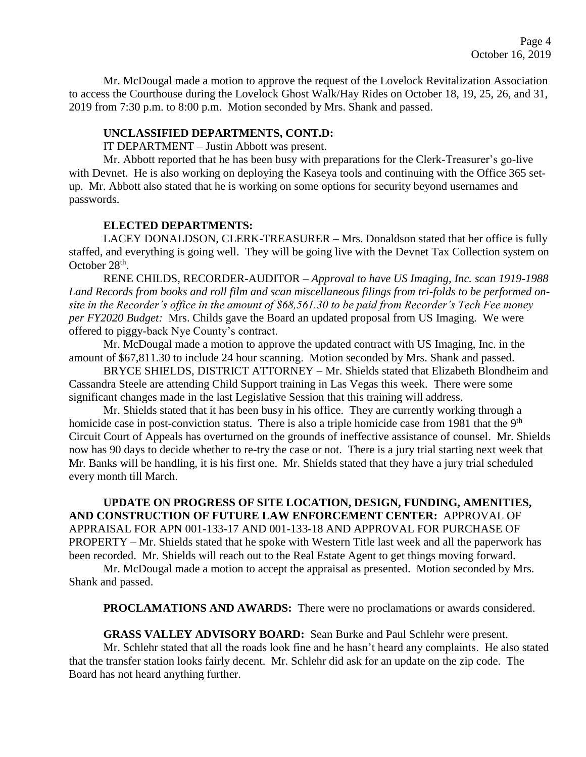Mr. McDougal made a motion to approve the request of the Lovelock Revitalization Association to access the Courthouse during the Lovelock Ghost Walk/Hay Rides on October 18, 19, 25, 26, and 31, 2019 from 7:30 p.m. to 8:00 p.m. Motion seconded by Mrs. Shank and passed.

#### **UNCLASSIFIED DEPARTMENTS, CONT.D:**

IT DEPARTMENT – Justin Abbott was present.

Mr. Abbott reported that he has been busy with preparations for the Clerk-Treasurer's go-live with Devnet. He is also working on deploying the Kaseya tools and continuing with the Office 365 setup. Mr. Abbott also stated that he is working on some options for security beyond usernames and passwords.

#### **ELECTED DEPARTMENTS:**

LACEY DONALDSON, CLERK-TREASURER – Mrs. Donaldson stated that her office is fully staffed, and everything is going well. They will be going live with the Devnet Tax Collection system on October  $28<sup>th</sup>$ .

RENE CHILDS, RECORDER-AUDITOR – *Approval to have US Imaging, Inc. scan 1919-1988 Land Records from books and roll film and scan miscellaneous filings from tri-folds to be performed onsite in the Recorder's office in the amount of \$68,561.30 to be paid from Recorder's Tech Fee money per FY2020 Budget:* Mrs. Childs gave the Board an updated proposal from US Imaging. We were offered to piggy-back Nye County's contract.

Mr. McDougal made a motion to approve the updated contract with US Imaging, Inc. in the amount of \$67,811.30 to include 24 hour scanning. Motion seconded by Mrs. Shank and passed.

BRYCE SHIELDS, DISTRICT ATTORNEY – Mr. Shields stated that Elizabeth Blondheim and Cassandra Steele are attending Child Support training in Las Vegas this week. There were some significant changes made in the last Legislative Session that this training will address.

Mr. Shields stated that it has been busy in his office. They are currently working through a homicide case in post-conviction status. There is also a triple homicide case from 1981 that the 9<sup>th</sup> Circuit Court of Appeals has overturned on the grounds of ineffective assistance of counsel. Mr. Shields now has 90 days to decide whether to re-try the case or not. There is a jury trial starting next week that Mr. Banks will be handling, it is his first one. Mr. Shields stated that they have a jury trial scheduled every month till March.

**UPDATE ON PROGRESS OF SITE LOCATION, DESIGN, FUNDING, AMENITIES, AND CONSTRUCTION OF FUTURE LAW ENFORCEMENT CENTER:** APPROVAL OF APPRAISAL FOR APN 001-133-17 AND 001-133-18 AND APPROVAL FOR PURCHASE OF PROPERTY – Mr. Shields stated that he spoke with Western Title last week and all the paperwork has been recorded. Mr. Shields will reach out to the Real Estate Agent to get things moving forward.

Mr. McDougal made a motion to accept the appraisal as presented. Motion seconded by Mrs. Shank and passed.

**PROCLAMATIONS AND AWARDS:** There were no proclamations or awards considered.

#### **GRASS VALLEY ADVISORY BOARD:** Sean Burke and Paul Schlehr were present.

Mr. Schlehr stated that all the roads look fine and he hasn't heard any complaints. He also stated that the transfer station looks fairly decent. Mr. Schlehr did ask for an update on the zip code. The Board has not heard anything further.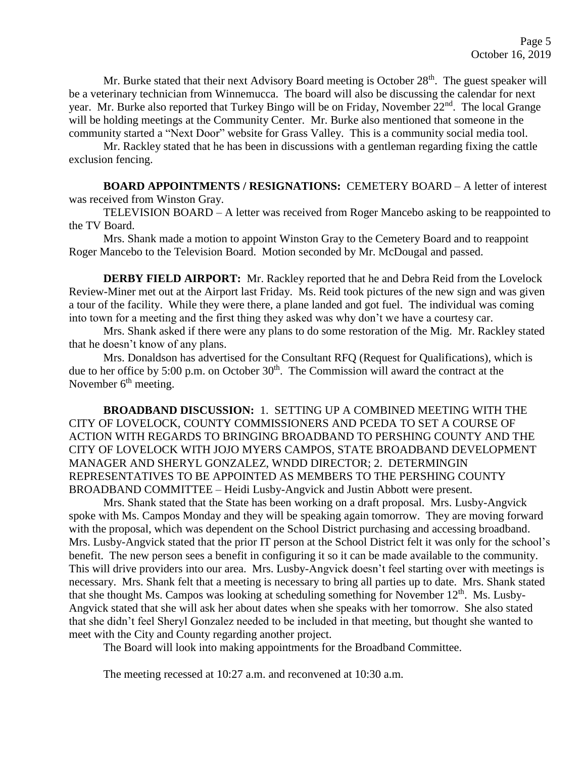Mr. Burke stated that their next Advisory Board meeting is October  $28<sup>th</sup>$ . The guest speaker will be a veterinary technician from Winnemucca. The board will also be discussing the calendar for next year. Mr. Burke also reported that Turkey Bingo will be on Friday, November 22<sup>nd</sup>. The local Grange will be holding meetings at the Community Center. Mr. Burke also mentioned that someone in the community started a "Next Door" website for Grass Valley. This is a community social media tool.

Mr. Rackley stated that he has been in discussions with a gentleman regarding fixing the cattle exclusion fencing.

**BOARD APPOINTMENTS / RESIGNATIONS:** CEMETERY BOARD – A letter of interest was received from Winston Gray.

TELEVISION BOARD – A letter was received from Roger Mancebo asking to be reappointed to the TV Board.

Mrs. Shank made a motion to appoint Winston Gray to the Cemetery Board and to reappoint Roger Mancebo to the Television Board. Motion seconded by Mr. McDougal and passed.

**DERBY FIELD AIRPORT:** Mr. Rackley reported that he and Debra Reid from the Lovelock Review-Miner met out at the Airport last Friday. Ms. Reid took pictures of the new sign and was given a tour of the facility. While they were there, a plane landed and got fuel. The individual was coming into town for a meeting and the first thing they asked was why don't we have a courtesy car.

Mrs. Shank asked if there were any plans to do some restoration of the Mig. Mr. Rackley stated that he doesn't know of any plans.

Mrs. Donaldson has advertised for the Consultant RFQ (Request for Qualifications), which is due to her office by 5:00 p.m. on October  $30<sup>th</sup>$ . The Commission will award the contract at the November  $6<sup>th</sup>$  meeting.

**BROADBAND DISCUSSION:** 1. SETTING UP A COMBINED MEETING WITH THE CITY OF LOVELOCK, COUNTY COMMISSIONERS AND PCEDA TO SET A COURSE OF ACTION WITH REGARDS TO BRINGING BROADBAND TO PERSHING COUNTY AND THE CITY OF LOVELOCK WITH JOJO MYERS CAMPOS, STATE BROADBAND DEVELOPMENT MANAGER AND SHERYL GONZALEZ, WNDD DIRECTOR; 2. DETERMINGIN REPRESENTATIVES TO BE APPOINTED AS MEMBERS TO THE PERSHING COUNTY BROADBAND COMMITTEE – Heidi Lusby-Angvick and Justin Abbott were present.

Mrs. Shank stated that the State has been working on a draft proposal. Mrs. Lusby-Angvick spoke with Ms. Campos Monday and they will be speaking again tomorrow. They are moving forward with the proposal, which was dependent on the School District purchasing and accessing broadband. Mrs. Lusby-Angvick stated that the prior IT person at the School District felt it was only for the school's benefit. The new person sees a benefit in configuring it so it can be made available to the community. This will drive providers into our area. Mrs. Lusby-Angvick doesn't feel starting over with meetings is necessary. Mrs. Shank felt that a meeting is necessary to bring all parties up to date. Mrs. Shank stated that she thought Ms. Campos was looking at scheduling something for November 12<sup>th</sup>. Ms. Lusby-Angvick stated that she will ask her about dates when she speaks with her tomorrow. She also stated that she didn't feel Sheryl Gonzalez needed to be included in that meeting, but thought she wanted to meet with the City and County regarding another project.

The Board will look into making appointments for the Broadband Committee.

The meeting recessed at 10:27 a.m. and reconvened at 10:30 a.m.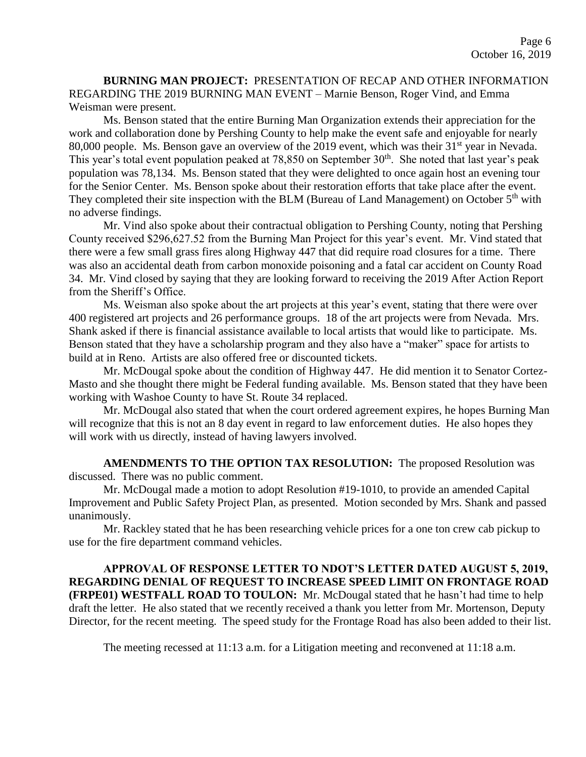**BURNING MAN PROJECT:** PRESENTATION OF RECAP AND OTHER INFORMATION REGARDING THE 2019 BURNING MAN EVENT – Marnie Benson, Roger Vind, and Emma Weisman were present.

Ms. Benson stated that the entire Burning Man Organization extends their appreciation for the work and collaboration done by Pershing County to help make the event safe and enjoyable for nearly 80,000 people. Ms. Benson gave an overview of the 2019 event, which was their 31<sup>st</sup> year in Nevada. This year's total event population peaked at 78,850 on September  $30<sup>th</sup>$ . She noted that last year's peak population was 78,134. Ms. Benson stated that they were delighted to once again host an evening tour for the Senior Center. Ms. Benson spoke about their restoration efforts that take place after the event. They completed their site inspection with the BLM (Bureau of Land Management) on October  $5<sup>th</sup>$  with no adverse findings.

Mr. Vind also spoke about their contractual obligation to Pershing County, noting that Pershing County received \$296,627.52 from the Burning Man Project for this year's event. Mr. Vind stated that there were a few small grass fires along Highway 447 that did require road closures for a time. There was also an accidental death from carbon monoxide poisoning and a fatal car accident on County Road 34. Mr. Vind closed by saying that they are looking forward to receiving the 2019 After Action Report from the Sheriff's Office.

Ms. Weisman also spoke about the art projects at this year's event, stating that there were over 400 registered art projects and 26 performance groups. 18 of the art projects were from Nevada. Mrs. Shank asked if there is financial assistance available to local artists that would like to participate. Ms. Benson stated that they have a scholarship program and they also have a "maker" space for artists to build at in Reno. Artists are also offered free or discounted tickets.

Mr. McDougal spoke about the condition of Highway 447. He did mention it to Senator Cortez-Masto and she thought there might be Federal funding available. Ms. Benson stated that they have been working with Washoe County to have St. Route 34 replaced.

Mr. McDougal also stated that when the court ordered agreement expires, he hopes Burning Man will recognize that this is not an 8 day event in regard to law enforcement duties. He also hopes they will work with us directly, instead of having lawyers involved.

**AMENDMENTS TO THE OPTION TAX RESOLUTION:** The proposed Resolution was discussed. There was no public comment.

Mr. McDougal made a motion to adopt Resolution #19-1010, to provide an amended Capital Improvement and Public Safety Project Plan, as presented. Motion seconded by Mrs. Shank and passed unanimously.

Mr. Rackley stated that he has been researching vehicle prices for a one ton crew cab pickup to use for the fire department command vehicles.

**APPROVAL OF RESPONSE LETTER TO NDOT'S LETTER DATED AUGUST 5, 2019, REGARDING DENIAL OF REQUEST TO INCREASE SPEED LIMIT ON FRONTAGE ROAD (FRPE01) WESTFALL ROAD TO TOULON:** Mr. McDougal stated that he hasn't had time to help draft the letter. He also stated that we recently received a thank you letter from Mr. Mortenson, Deputy Director, for the recent meeting. The speed study for the Frontage Road has also been added to their list.

The meeting recessed at 11:13 a.m. for a Litigation meeting and reconvened at 11:18 a.m.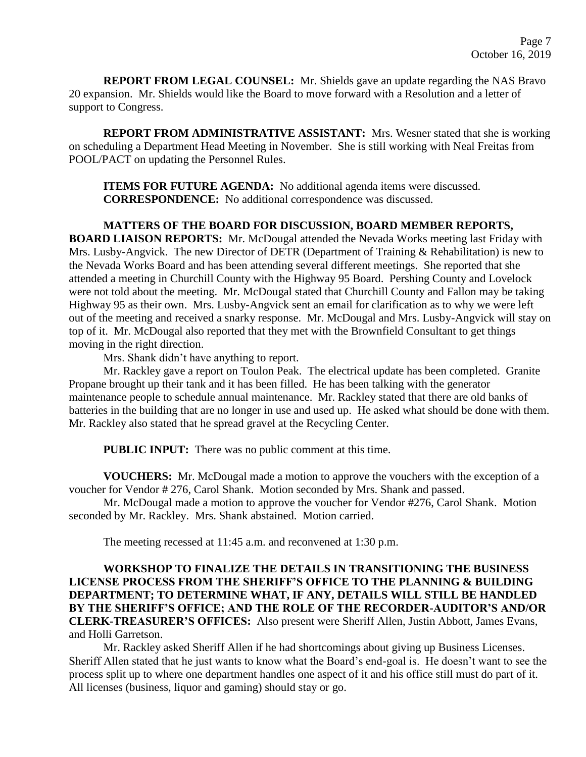**REPORT FROM LEGAL COUNSEL:** Mr. Shields gave an update regarding the NAS Bravo 20 expansion. Mr. Shields would like the Board to move forward with a Resolution and a letter of support to Congress.

**REPORT FROM ADMINISTRATIVE ASSISTANT:** Mrs. Wesner stated that she is working on scheduling a Department Head Meeting in November. She is still working with Neal Freitas from POOL/PACT on updating the Personnel Rules.

**ITEMS FOR FUTURE AGENDA:** No additional agenda items were discussed. **CORRESPONDENCE:** No additional correspondence was discussed.

### **MATTERS OF THE BOARD FOR DISCUSSION, BOARD MEMBER REPORTS,**

**BOARD LIAISON REPORTS:** Mr. McDougal attended the Nevada Works meeting last Friday with Mrs. Lusby-Angvick. The new Director of DETR (Department of Training & Rehabilitation) is new to the Nevada Works Board and has been attending several different meetings. She reported that she attended a meeting in Churchill County with the Highway 95 Board. Pershing County and Lovelock were not told about the meeting. Mr. McDougal stated that Churchill County and Fallon may be taking Highway 95 as their own. Mrs. Lusby-Angvick sent an email for clarification as to why we were left out of the meeting and received a snarky response. Mr. McDougal and Mrs. Lusby-Angvick will stay on top of it. Mr. McDougal also reported that they met with the Brownfield Consultant to get things moving in the right direction.

Mrs. Shank didn't have anything to report.

Mr. Rackley gave a report on Toulon Peak. The electrical update has been completed. Granite Propane brought up their tank and it has been filled. He has been talking with the generator maintenance people to schedule annual maintenance. Mr. Rackley stated that there are old banks of batteries in the building that are no longer in use and used up. He asked what should be done with them. Mr. Rackley also stated that he spread gravel at the Recycling Center.

**PUBLIC INPUT:** There was no public comment at this time.

**VOUCHERS:** Mr. McDougal made a motion to approve the vouchers with the exception of a voucher for Vendor # 276, Carol Shank. Motion seconded by Mrs. Shank and passed.

Mr. McDougal made a motion to approve the voucher for Vendor #276, Carol Shank. Motion seconded by Mr. Rackley. Mrs. Shank abstained. Motion carried.

The meeting recessed at 11:45 a.m. and reconvened at 1:30 p.m.

## **WORKSHOP TO FINALIZE THE DETAILS IN TRANSITIONING THE BUSINESS LICENSE PROCESS FROM THE SHERIFF'S OFFICE TO THE PLANNING & BUILDING DEPARTMENT; TO DETERMINE WHAT, IF ANY, DETAILS WILL STILL BE HANDLED BY THE SHERIFF'S OFFICE; AND THE ROLE OF THE RECORDER-AUDITOR'S AND/OR CLERK-TREASURER'S OFFICES:** Also present were Sheriff Allen, Justin Abbott, James Evans, and Holli Garretson.

Mr. Rackley asked Sheriff Allen if he had shortcomings about giving up Business Licenses. Sheriff Allen stated that he just wants to know what the Board's end-goal is. He doesn't want to see the process split up to where one department handles one aspect of it and his office still must do part of it. All licenses (business, liquor and gaming) should stay or go.